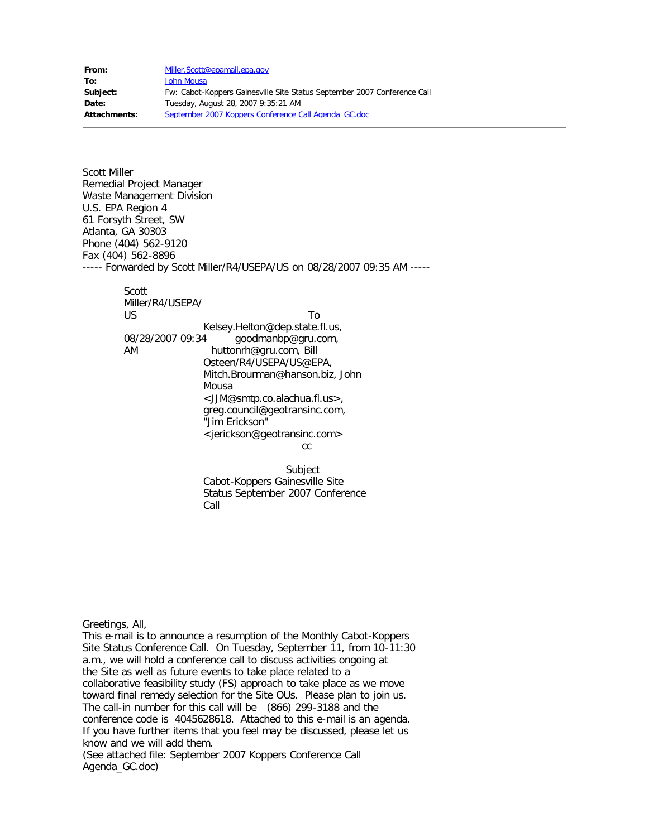**From:** [Miller.Scott@epamail.epa.gov](mailto:Miller.Scott@epamail.epa.gov) **To:** [John Mousa](mailto:jjm@alachuacounty.us) **Subject:** Fw: Cabot-Koppers Gainesville Site Status September 2007 Conference Call **Date:** Tuesday, August 28, 2007 9:35:21 AM **Attachments:** September 2007 Koppers Conference Call Agenda\_GC.doc

Scott Miller Remedial Project Manager Waste Management Division U.S. EPA Region 4 61 Forsyth Street, SW Atlanta, GA 30303 Phone (404) 562-9120 Fax (404) 562-8896 ----- Forwarded by Scott Miller/R4/USEPA/US on 08/28/2007 09:35 AM ----- Scott Miller/R4/USEPA/ US To Kelsey.Helton@dep.state.fl.us, 08/28/2007 09:34 goodmanbp@gru.com, AM huttonrh@gru.com, Bill Osteen/R4/USEPA/US@EPA, Mitch.Brourman@hanson.biz, John Mousa <JJM@smtp.co.alachua.fl.us>, greg.council@geotransinc.com, "Jim Erickson"

<jerickson@geotransinc.com>

cc<sub>c</sub> and the contract of the contract of the contract of the contract of the contract of the contract of the contract of the contract of the contract of the contract of the contract of the contract of the contract of the

 Subject Cabot-Koppers Gainesville Site Status September 2007 Conference Call

Greetings, All,

This e-mail is to announce a resumption of the Monthly Cabot-Koppers Site Status Conference Call. On Tuesday, September 11, from 10-11:30 a.m., we will hold a conference call to discuss activities ongoing at the Site as well as future events to take place related to a collaborative feasibility study (FS) approach to take place as we move toward final remedy selection for the Site OUs. Please plan to join us. The call-in number for this call will be (866) 299-3188 and the conference code is 4045628618. Attached to this e-mail is an agenda. If you have further items that you feel may be discussed, please let us know and we will add them. (See attached file: September 2007 Koppers Conference Call

Agenda\_GC.doc)